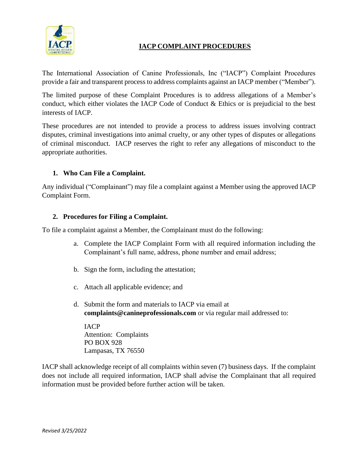

## **IACP COMPLAINT PROCEDURES**

The International Association of Canine Professionals, Inc ("IACP") Complaint Procedures provide a fair and transparent process to address complaints against an IACP member ("Member").

The limited purpose of these Complaint Procedures is to address allegations of a Member's conduct, which either violates the IACP Code of Conduct & Ethics or is prejudicial to the best interests of IACP.

These procedures are not intended to provide a process to address issues involving contract disputes, criminal investigations into animal cruelty, or any other types of disputes or allegations of criminal misconduct. IACP reserves the right to refer any allegations of misconduct to the appropriate authorities.

## **1. Who Can File a Complaint.**

Any individual ("Complainant") may file a complaint against a Member using the approved IACP Complaint Form.

#### **2. Procedures for Filing a Complaint.**

To file a complaint against a Member, the Complainant must do the following:

- a. Complete the IACP Complaint Form with all required information including the Complainant's full name, address, phone number and email address;
- b. Sign the form, including the attestation;
- c. Attach all applicable evidence; and
- d. Submit the form and materials to IACP via email at **complaints@canineprofessionals.com** or via regular mail addressed to:

IACP Attention: Complaints PO BOX 928 Lampasas, TX 76550

IACP shall acknowledge receipt of all complaints within seven (7) business days. If the complaint does not include all required information, IACP shall advise the Complainant that all required information must be provided before further action will be taken.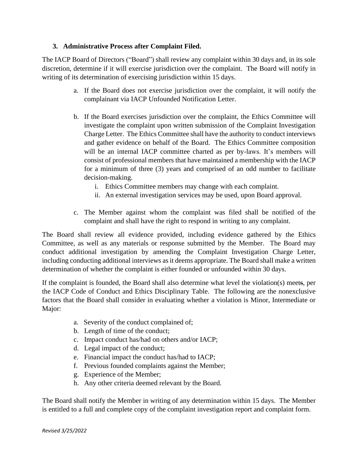### **3. Administrative Process after Complaint Filed.**

The IACP Board of Directors ("Board") shall review any complaint within 30 days and, in its sole discretion, determine if it will exercise jurisdiction over the complaint. The Board will notify in writing of its determination of exercising jurisdiction within 15 days.

- a. If the Board does not exercise jurisdiction over the complaint, it will notify the complainant via IACP Unfounded Notification Letter.
- b. If the Board exercises jurisdiction over the complaint, the Ethics Committee will investigate the complaint upon written submission of the Complaint Investigation Charge Letter. The Ethics Committee shall have the authority to conduct interviews and gather evidence on behalf of the Board. The Ethics Committee composition will be an internal IACP committee charted as per by-laws. It's members will consist of professional members that have maintained a membership with the IACP for a minimum of three (3) years and comprised of an odd number to facilitate decision-making.
	- i. Ethics Committee members may change with each complaint.
	- ii. An external investigation services may be used, upon Board approval.
- c. The Member against whom the complaint was filed shall be notified of the complaint and shall have the right to respond in writing to any complaint.

The Board shall review all evidence provided, including evidence gathered by the Ethics Committee, as well as any materials or response submitted by the Member. The Board may conduct additional investigation by amending the Complaint Investigation Charge Letter, including conducting additional interviews as it deems appropriate. The Board shall make a written determination of whether the complaint is either founded or unfounded within 30 days.

If the complaint is founded, the Board shall also determine what level the violation(s) meets, per the IACP Code of Conduct and Ethics Disciplinary Table. The following are the nonexclusive factors that the Board shall consider in evaluating whether a violation is Minor, Intermediate or Major:

- a. Severity of the conduct complained of;
- b. Length of time of the conduct;
- c. Impact conduct has/had on others and/or IACP;
- d. Legal impact of the conduct;
- e. Financial impact the conduct has/had to IACP;
- f. Previous founded complaints against the Member;
- g. Experience of the Member;
- h. Any other criteria deemed relevant by the Board.

The Board shall notify the Member in writing of any determination within 15 days. The Member is entitled to a full and complete copy of the complaint investigation report and complaint form.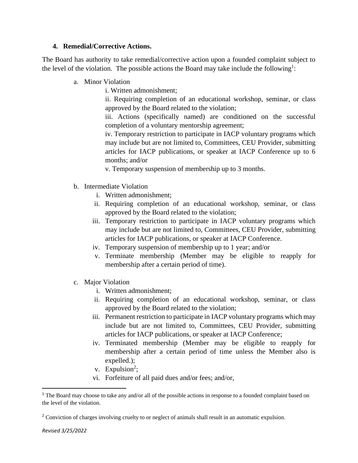### **4. Remedial/Corrective Actions.**

The Board has authority to take remedial/corrective action upon a founded complaint subject to the level of the violation. The possible actions the Board may take include the following<sup>1</sup>:

- a. Minor Violation
	- i. Written admonishment;

ii. Requiring completion of an educational workshop, seminar, or class approved by the Board related to the violation;

iii. Actions (specifically named) are conditioned on the successful completion of a voluntary mentorship agreement;

iv. Temporary restriction to participate in IACP voluntary programs which may include but are not limited to, Committees, CEU Provider, submitting articles for IACP publications, or speaker at IACP Conference up to 6 months; and/or

v. Temporary suspension of membership up to 3 months.

- b. Intermediate Violation
	- i. Written admonishment;
	- ii. Requiring completion of an educational workshop, seminar, or class approved by the Board related to the violation;
	- iii. Temporary restriction to participate in IACP voluntary programs which may include but are not limited to, Committees, CEU Provider, submitting articles for IACP publications, or speaker at IACP Conference.
	- iv. Temporary suspension of membership up to 1 year; and/or
	- v. Terminate membership (Member may be eligible to reapply for membership after a certain period of time).
- c. Major Violation
	- i. Written admonishment;
	- ii. Requiring completion of an educational workshop, seminar, or class approved by the Board related to the violation;
	- iii. Permanent restriction to participate in IACP voluntary programs which may include but are not limited to, Committees, CEU Provider, submitting articles for IACP publications, or speaker at IACP Conference;
	- iv. Terminated membership (Member may be eligible to reapply for membership after a certain period of time unless the Member also is expelled.);
	- v. Expulsion<sup>2</sup>;
	- vi. Forfeiture of all paid dues and/or fees; and/or,

<sup>&</sup>lt;sup>1</sup> The Board may choose to take any and/or all of the possible actions in response to a founded complaint based on the level of the violation.

<sup>&</sup>lt;sup>2</sup> Conviction of charges involving cruelty to or neglect of animals shall result in an automatic expulsion.